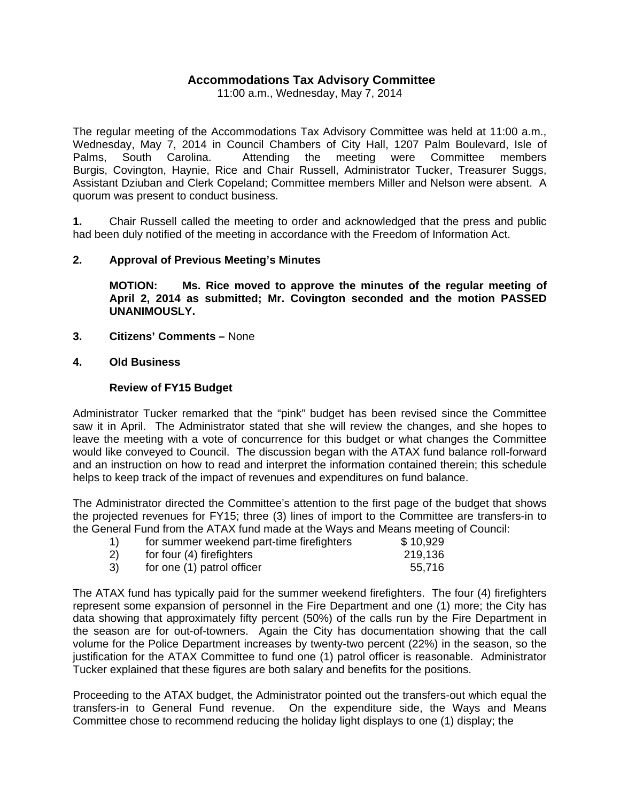## **Accommodations Tax Advisory Committee**

11:00 a.m., Wednesday, May 7, 2014

The regular meeting of the Accommodations Tax Advisory Committee was held at 11:00 a.m., Wednesday, May 7, 2014 in Council Chambers of City Hall, 1207 Palm Boulevard, Isle of Palms, South Carolina. Attending the meeting were Committee members Burgis, Covington, Haynie, Rice and Chair Russell, Administrator Tucker, Treasurer Suggs, Assistant Dziuban and Clerk Copeland; Committee members Miller and Nelson were absent. A quorum was present to conduct business.

**1.** Chair Russell called the meeting to order and acknowledged that the press and public had been duly notified of the meeting in accordance with the Freedom of Information Act.

#### **2. Approval of Previous Meeting's Minutes**

 **MOTION: Ms. Rice moved to approve the minutes of the regular meeting of April 2, 2014 as submitted; Mr. Covington seconded and the motion PASSED UNANIMOUSLY.** 

- **3. Citizens' Comments** None
- **4. Old Business**

#### **Review of FY15 Budget**

Administrator Tucker remarked that the "pink" budget has been revised since the Committee saw it in April. The Administrator stated that she will review the changes, and she hopes to leave the meeting with a vote of concurrence for this budget or what changes the Committee would like conveyed to Council. The discussion began with the ATAX fund balance roll-forward and an instruction on how to read and interpret the information contained therein; this schedule helps to keep track of the impact of revenues and expenditures on fund balance.

The Administrator directed the Committee's attention to the first page of the budget that shows the projected revenues for FY15; three (3) lines of import to the Committee are transfers-in to the General Fund from the ATAX fund made at the Ways and Means meeting of Council:

| for summer weekend part-time firefighters | \$10,929 |
|-------------------------------------------|----------|
| for four (4) firefighters                 | 219,136  |
| for one (1) patrol officer                | 55,716   |

The ATAX fund has typically paid for the summer weekend firefighters. The four (4) firefighters represent some expansion of personnel in the Fire Department and one (1) more; the City has data showing that approximately fifty percent (50%) of the calls run by the Fire Department in the season are for out-of-towners. Again the City has documentation showing that the call volume for the Police Department increases by twenty-two percent (22%) in the season, so the justification for the ATAX Committee to fund one (1) patrol officer is reasonable. Administrator Tucker explained that these figures are both salary and benefits for the positions.

Proceeding to the ATAX budget, the Administrator pointed out the transfers-out which equal the transfers-in to General Fund revenue. On the expenditure side, the Ways and Means Committee chose to recommend reducing the holiday light displays to one (1) display; the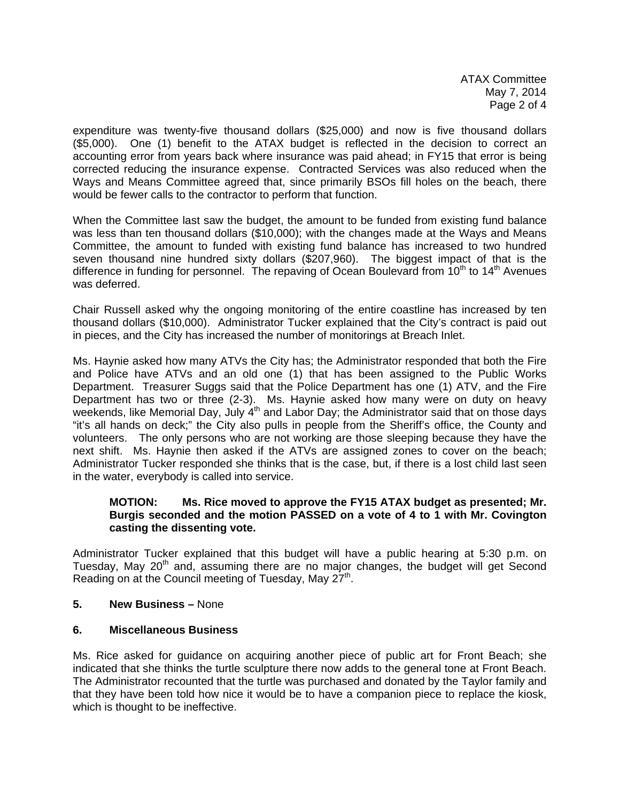ATAX Committee May 7, 2014 Page 2 of 4

expenditure was twenty-five thousand dollars (\$25,000) and now is five thousand dollars (\$5,000). One (1) benefit to the ATAX budget is reflected in the decision to correct an accounting error from years back where insurance was paid ahead; in FY15 that error is being corrected reducing the insurance expense. Contracted Services was also reduced when the Ways and Means Committee agreed that, since primarily BSOs fill holes on the beach, there would be fewer calls to the contractor to perform that function.

When the Committee last saw the budget, the amount to be funded from existing fund balance was less than ten thousand dollars (\$10,000); with the changes made at the Ways and Means Committee, the amount to funded with existing fund balance has increased to two hundred seven thousand nine hundred sixty dollars (\$207,960). The biggest impact of that is the difference in funding for personnel. The repaving of Ocean Boulevard from  $10<sup>th</sup>$  to  $14<sup>th</sup>$  Avenues was deferred.

Chair Russell asked why the ongoing monitoring of the entire coastline has increased by ten thousand dollars (\$10,000). Administrator Tucker explained that the City's contract is paid out in pieces, and the City has increased the number of monitorings at Breach Inlet.

Ms. Haynie asked how many ATVs the City has; the Administrator responded that both the Fire and Police have ATVs and an old one (1) that has been assigned to the Public Works Department. Treasurer Suggs said that the Police Department has one (1) ATV, and the Fire Department has two or three (2-3). Ms. Haynie asked how many were on duty on heavy weekends, like Memorial Day, July  $4<sup>th</sup>$  and Labor Day; the Administrator said that on those days "it's all hands on deck;" the City also pulls in people from the Sheriff's office, the County and volunteers. The only persons who are not working are those sleeping because they have the next shift. Ms. Haynie then asked if the ATVs are assigned zones to cover on the beach; Administrator Tucker responded she thinks that is the case, but, if there is a lost child last seen in the water, everybody is called into service.

### **MOTION: Ms. Rice moved to approve the FY15 ATAX budget as presented; Mr. Burgis seconded and the motion PASSED on a vote of 4 to 1 with Mr. Covington casting the dissenting vote.**

Administrator Tucker explained that this budget will have a public hearing at 5:30 p.m. on Tuesday, May  $20<sup>th</sup>$  and, assuming there are no major changes, the budget will get Second Reading on at the Council meeting of Tuesday, May  $27<sup>th</sup>$ .

**5. New Business –** None

### **6. Miscellaneous Business**

Ms. Rice asked for guidance on acquiring another piece of public art for Front Beach; she indicated that she thinks the turtle sculpture there now adds to the general tone at Front Beach. The Administrator recounted that the turtle was purchased and donated by the Taylor family and that they have been told how nice it would be to have a companion piece to replace the kiosk, which is thought to be ineffective.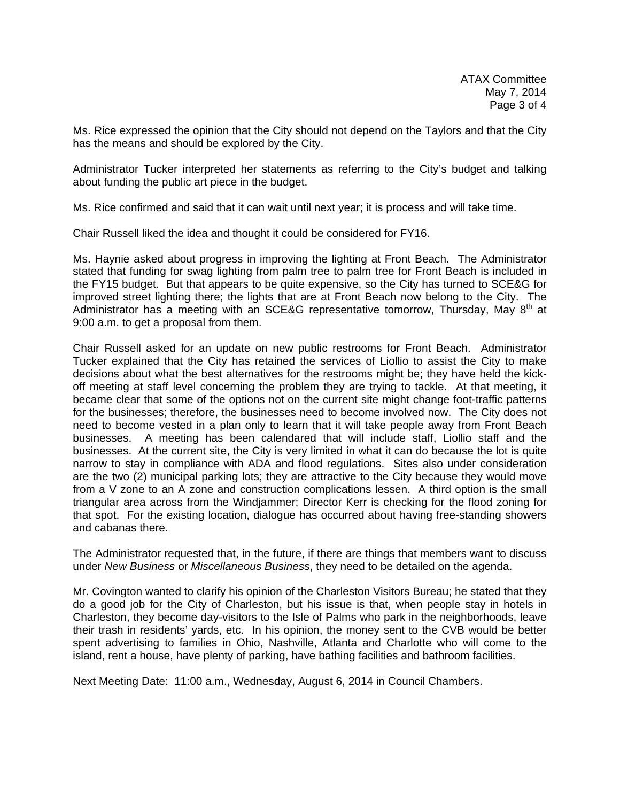Ms. Rice expressed the opinion that the City should not depend on the Taylors and that the City has the means and should be explored by the City.

Administrator Tucker interpreted her statements as referring to the City's budget and talking about funding the public art piece in the budget.

Ms. Rice confirmed and said that it can wait until next year; it is process and will take time.

Chair Russell liked the idea and thought it could be considered for FY16.

Ms. Haynie asked about progress in improving the lighting at Front Beach. The Administrator stated that funding for swag lighting from palm tree to palm tree for Front Beach is included in the FY15 budget. But that appears to be quite expensive, so the City has turned to SCE&G for improved street lighting there; the lights that are at Front Beach now belong to the City. The Administrator has a meeting with an SCE&G representative tomorrow, Thursday, May  $8<sup>th</sup>$  at 9:00 a.m. to get a proposal from them.

Chair Russell asked for an update on new public restrooms for Front Beach. Administrator Tucker explained that the City has retained the services of Liollio to assist the City to make decisions about what the best alternatives for the restrooms might be; they have held the kickoff meeting at staff level concerning the problem they are trying to tackle. At that meeting, it became clear that some of the options not on the current site might change foot-traffic patterns for the businesses; therefore, the businesses need to become involved now. The City does not need to become vested in a plan only to learn that it will take people away from Front Beach businesses. A meeting has been calendared that will include staff, Liollio staff and the businesses. At the current site, the City is very limited in what it can do because the lot is quite narrow to stay in compliance with ADA and flood regulations. Sites also under consideration are the two (2) municipal parking lots; they are attractive to the City because they would move from a V zone to an A zone and construction complications lessen. A third option is the small triangular area across from the Windjammer; Director Kerr is checking for the flood zoning for that spot. For the existing location, dialogue has occurred about having free-standing showers and cabanas there.

The Administrator requested that, in the future, if there are things that members want to discuss under *New Business* or *Miscellaneous Business*, they need to be detailed on the agenda.

Mr. Covington wanted to clarify his opinion of the Charleston Visitors Bureau; he stated that they do a good job for the City of Charleston, but his issue is that, when people stay in hotels in Charleston, they become day-visitors to the Isle of Palms who park in the neighborhoods, leave their trash in residents' yards, etc. In his opinion, the money sent to the CVB would be better spent advertising to families in Ohio, Nashville, Atlanta and Charlotte who will come to the island, rent a house, have plenty of parking, have bathing facilities and bathroom facilities.

Next Meeting Date: 11:00 a.m., Wednesday, August 6, 2014 in Council Chambers.